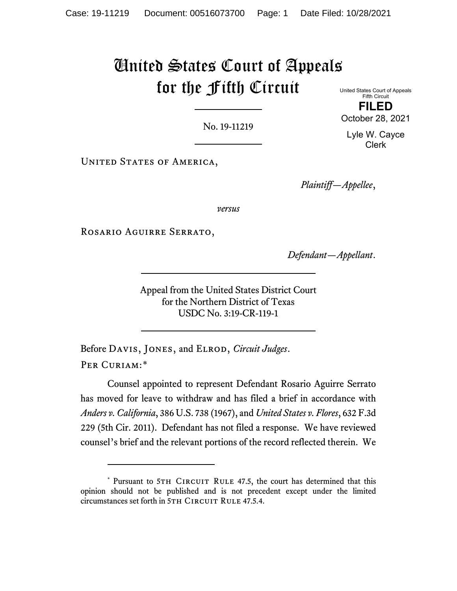## United States Court of Appeals for the Fifth Circuit

No. 19-11219

United States Court of Appeals Fifth Circuit

**FILED** October 28, 2021

Lyle W. Cayce Clerk

UNITED STATES OF AMERICA,

*Plaintiff—Appellee*,

*versus*

Rosario Aguirre Serrato,

*Defendant—Appellant*.

Appeal from the United States District Court for the Northern District of Texas USDC No. 3:19-CR-119-1

Before Davis, Jones, and Elrod, *Circuit Judges*. PER CURIAM:[\\*](#page-0-0)

Counsel appointed to represent Defendant Rosario Aguirre Serrato has moved for leave to withdraw and has filed a brief in accordance with *Anders v. California*, 386 U.S. 738 (1967), and *United States v. Flores*, 632 F.3d 229 (5th Cir. 2011). Defendant has not filed a response. We have reviewed counsel's brief and the relevant portions of the record reflected therein. We

<span id="page-0-0"></span><sup>\*</sup> Pursuant to 5TH CIRCUIT RULE 47.5, the court has determined that this opinion should not be published and is not precedent except under the limited circumstances set forth in 5TH CIRCUIT RULE 47.5.4.